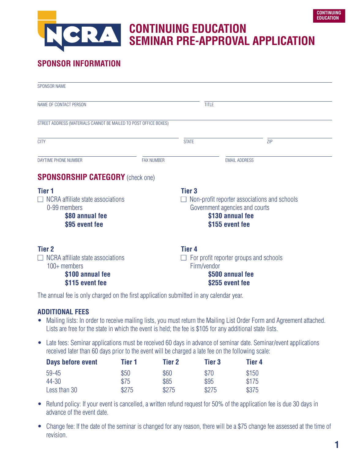# **CONTINUING EDUCATION**   $\mathbf{A}$ **SEMINAR PRE-APPROVAL APPLICATION**

# **SPONSOR INFORMATION**

| <b>SPONSOR NAME</b>                                                                                                   |                   |                                                                                                                                        |                                                                               |     |
|-----------------------------------------------------------------------------------------------------------------------|-------------------|----------------------------------------------------------------------------------------------------------------------------------------|-------------------------------------------------------------------------------|-----|
| NAME OF CONTACT PERSON                                                                                                |                   |                                                                                                                                        | <b>TITLE</b>                                                                  |     |
| STREET ADDRESS (MATERIALS CANNOT BE MAILED TO POST OFFICE BOXES)                                                      |                   |                                                                                                                                        |                                                                               |     |
| <b>CITY</b>                                                                                                           |                   | <b>STATE</b>                                                                                                                           |                                                                               | ZIP |
| DAYTIME PHONE NUMBER                                                                                                  | <b>FAX NUMBER</b> |                                                                                                                                        | <b>EMAIL ADDRESS</b>                                                          |     |
| <b>SPONSORSHIP CATEGORY</b> (check one)                                                                               |                   |                                                                                                                                        |                                                                               |     |
| Tier 1<br>$\Box$ NCRA affiliate state associations<br>0-99 members<br>\$80 annual fee<br>\$95 event fee               |                   | <b>Tier 3</b><br>Non-profit reporter associations and schools<br>Government agencies and courts<br>\$130 annual fee<br>\$155 event fee |                                                                               |     |
| <b>Tier 2</b><br>NCRA affiliate state associations<br>$\Box$<br>$100+$ members<br>\$100 annual fee<br>\$115 event fee |                   | <b>Tier 4</b><br>Firm/vendor                                                                                                           | For profit reporter groups and schools<br>\$500 annual fee<br>\$255 event fee |     |

The annual fee is only charged on the first application submitted in any calendar year.

#### **ADDITIONAL FEES**

- Mailing lists: In order to receive mailing lists, you must return the Mailing List Order Form and Agreement attached. Lists are free for the state in which the event is held; the fee is \$105 for any additional state lists.
- Late fees: Seminar applications must be received 60 days in advance of seminar date. Seminar/event applications received later than 60 days prior to the event will be charged a late fee on the following scale:

| Days before event | Tier 1 | Tier 2 | Tier 3 | Tier 4 |
|-------------------|--------|--------|--------|--------|
| 59-45             | \$50   | \$60   | \$70   | \$150  |
| 44-30             | \$75   | \$85   | \$95   | \$175  |
| Less than 30      | \$275  | \$275  | \$275  | \$375  |

- Refund policy: If your event is cancelled, a written refund request for 50% of the application fee is due 30 days in advance of the event date.
- Change fee: If the date of the seminar is changed for any reason, there will be a \$75 change fee assessed at the time of revision.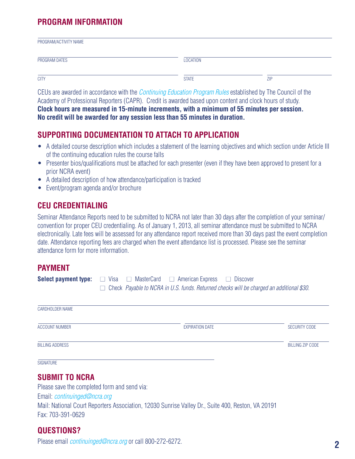# **PROGRAM INFORMATION**

| PROGRAM/ACTIVITY NAME |                 |            |
|-----------------------|-----------------|------------|
| PROGRAM DATES         | <b>LOCATION</b> |            |
| <b>CITY</b>           | <b>STATE</b>    | <b>ZIP</b> |

CEUs are awarded in accordance with the [Continuing Education Program Rules](https://www.ncra.org/Education/content.cfm?ItemNumber=19699&navItemNumber=20013) established by The Council of the Academy of Professional Reporters (CAPR). Credit is awarded based upon content and clock hours of study. **Clock hours are measured in 15-minute increments, with a minimum of 55 minutes per session. No credit will be awarded for any session less than 55 minutes in duration.**

#### **SUPPORTING DOCUMENTATION TO ATTACH TO APPLICATION**

- A detailed course description which includes a statement of the learning objectives and which section under Article III of the continuing education rules the course falls
- Presenter bios/qualifications must be attached for each presenter (even if they have been approved to present for a prior NCRA event)
- A detailed description of how attendance/participation is tracked
- Event/program agenda and/or brochure

#### **CEU CREDENTIALING**

Seminar Attendance Reports need to be submitted to NCRA not later than 30 days after the completion of your seminar/ convention for proper CEU credentialing. As of January 1, 2013, all seminar attendance must be submitted to NCRA electronically. Late fees will be assessed for any attendance report received more than 30 days past the event completion date. Attendance reporting fees are charged when the event attendance list is processed. Please see the seminar attendance form for more information.

#### **PAYMENT**

| <b>Select payment type:</b> $\Box$ Visa $\Box$ MasterCard $\Box$ American Express $\Box$ Discover |  |  |  |                                                                                                 |
|---------------------------------------------------------------------------------------------------|--|--|--|-------------------------------------------------------------------------------------------------|
|                                                                                                   |  |  |  | $\Box$ Check Payable to NCRA in U.S. funds. Returned checks will be charged an additional \$30. |

| CARDHOLDER NAME        |                        |                         |
|------------------------|------------------------|-------------------------|
| ACCOUNT NUMBER         | <b>EXPIRATION DATE</b> | <b>SECURITY CODE</b>    |
| <b>BILLING ADDRESS</b> |                        | <b>BILLING ZIP CODE</b> |
| SIGNATURE              |                        |                         |

#### **SUBMIT TO NCRA**

Please save the completed form and send via: Email: *[continuinged@ncra.org](mailto:continuinged%40ncra.org?subject=)* Mail: National Court Reporters Association, 12030 Sunrise Valley Dr., Suite 400, Reston, VA 20191 Fax: 703-391-0629

## **QUESTIONS?**

Please email *[continuinged@ncra.org](mailto:continuinged%40ncra.org?subject=)* or call 800-272-6272.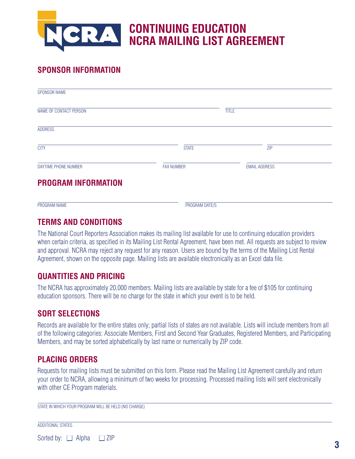

# **SPONSOR INFORMATION**

| SPONSOR NAME               |                   |                      |  |
|----------------------------|-------------------|----------------------|--|
| NAME OF CONTACT PERSON     |                   | <b>TITLE</b>         |  |
| <b>ADDRESS</b>             |                   |                      |  |
| <b>CITY</b>                | <b>STATE</b>      | <b>ZIP</b>           |  |
| DAYTIME PHONE NUMBER       | <b>FAX NUMBER</b> | <b>EMAIL ADDRESS</b> |  |
| <b>PROGRAM INFORMATION</b> |                   |                      |  |
| PROGRAM NAME               | PROGRAM DATE/S    |                      |  |

# **TERMS AND CONDITIONS**

The National Court Reporters Association makes its mailing list available for use to continuing education providers when certain criteria, as specified in its Mailing List Rental Agreement, have been met. All requests are subject to review and approval. NCRA may reject any request for any reason. Users are bound by the terms of the Mailing List Rental Agreement, shown on the opposite page. Mailing lists are available electronically as an Excel data file.

## **QUANTITIES AND PRICING**

The NCRA has approximately 20,000 members. Mailing lists are available by state for a fee of \$105 for continuing education sponsors. There will be no charge for the state in which your event is to be held.

# **SORT SELECTIONS**

Records are available for the entire states only; partial lists of states are not available. Lists will include members from all of the following categories: Associate Members, First and Second Year Graduates, Registered Members, and Participating Members, and may be sorted alphabetically by last name or numerically by ZIP code.

# **PLACING ORDERS**

Requests for mailing lists must be submitted on this form. Please read the Mailing List Agreement carefully and return your order to NCRA, allowing a minimum of two weeks for processing. Processed mailing lists will sent electronically with other CE Program materials.

| STATE IN WHICH YOUR PROGRAM WILL BE HELD (NO CHARGE) |  |  |
|------------------------------------------------------|--|--|
|                                                      |  |  |

ADDITIONAL STATES